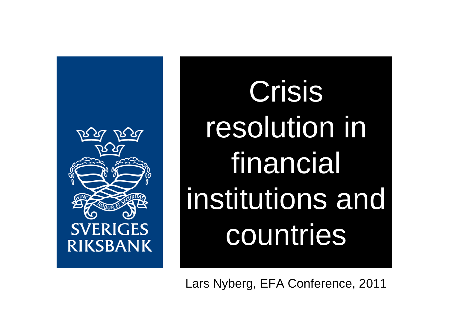

Crisis resolution in financial institutions and countries

Lars Nyberg, EFA Conference, 2011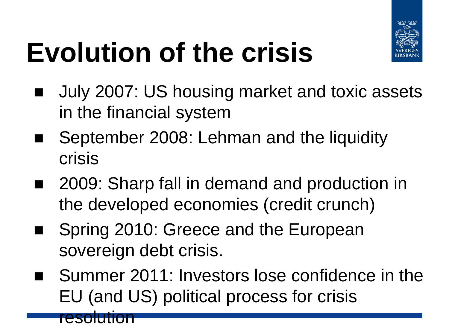

# **Evolution of the crisis**

- July 2007: US housing market and toxic assets in the financial system
- September 2008: Lehman and the liquidity crisis
- 2009: Sharp fall in demand and production in the developed economies (credit crunch)
- Spring 2010: Greece and the European sovereign debt crisis.

resolution

■ Summer 2011: Investors lose confidence in the EU (and US) political process for crisis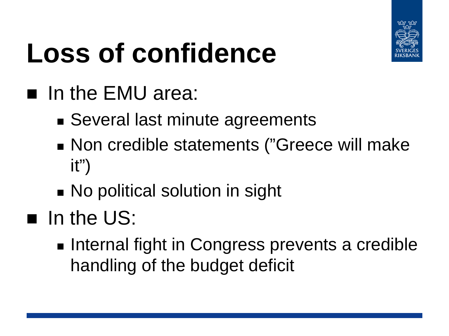

# **Loss of confidence**

#### In the EMU area:

- Several last minute agreements
- Non credible statements ("Greece will make it")
- **No political solution in sight**
- $\blacksquare$  In the US:
	- **Internal fight in Congress prevents a credible** handling of the budget deficit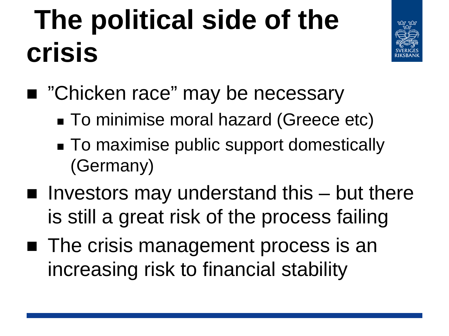#### **The political side of the crisis**



- "Chicken race" may be necessary
	- To minimise moral hazard (Greece etc)
	- To maximise public support domestically (Germany)
- $\blacksquare$  Investors may understand this  $-$  but there is still a great risk of the process failing
- The crisis management process is an increasing risk to financial stability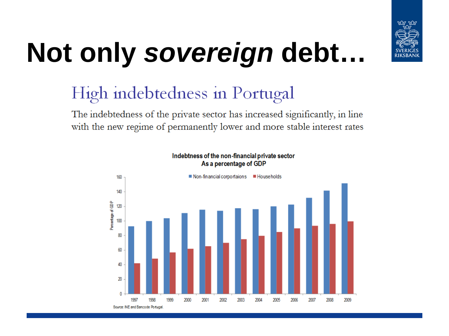

# **Not only** *sovereign* **debt…**

#### High indebtedness in Portugal

The indebtedness of the private sector has increased significantly, in line with the new regime of permanently lower and more stable interest rates

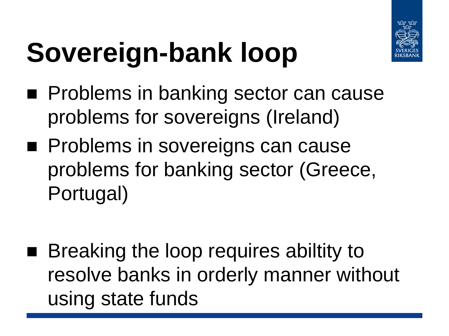

# **Sovereign-bank loop**

- **Problems in banking sector can cause** problems for sovereigns (Ireland)
- **Problems in sovereigns can cause** problems for banking sector (Greece, Portugal)
- Breaking the loop requires abiltity to resolve banks in orderly manner without using state funds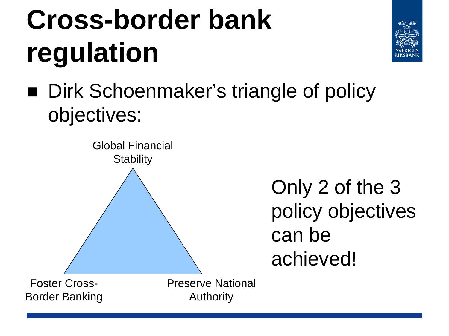### **Cross-border bank regulation**



■ Dirk Schoenmaker's triangle of policy objectives:

Global Financial **Stability** Foster Cross-

Only 2 of the 3 policy objectives can be achieved!

Border Banking

Preserve National Authority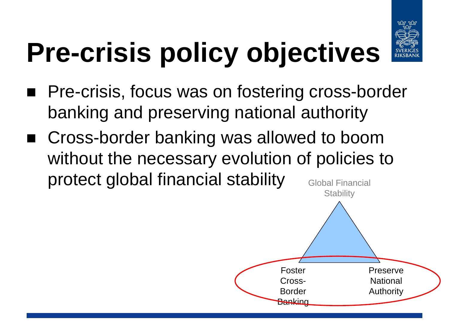

# **Pre-crisis policy objectives**

- Pre-crisis, focus was on fostering cross-border banking and preserving national authority
- Cross-border banking was allowed to boom without the necessary evolution of policies to protect global financial stability Global Financial

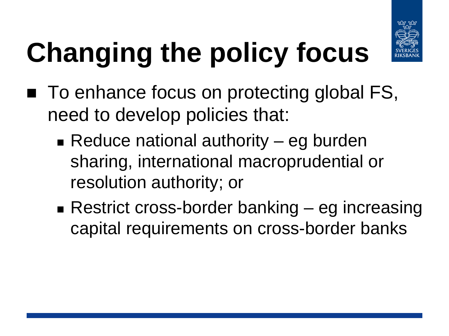

# **Changing the policy focus**

- To enhance focus on protecting global FS, need to develop policies that:
	- Reduce national authority  $-$  eg burden sharing, international macroprudential or resolution authority; or
	- Restrict cross-border banking eg increasing capital requirements on cross-border banks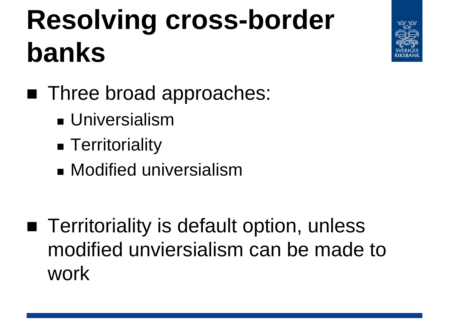#### **Resolving cross-border banks**



- Three broad approaches:
	- **J**universialism
	- **Ferritoriality**
	- **Modified universialism**
- **Territoriality is default option, unless** modified unviersialism can be made to work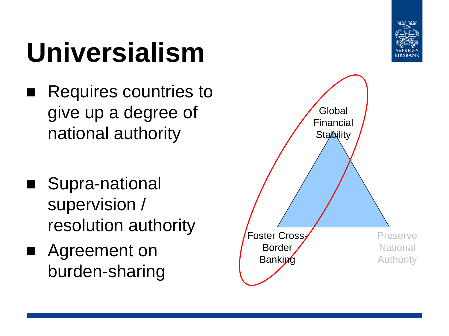

#### **Universialism**

- Requires countries to give up a degree of national authority
- Supra-national supervision / resolution authority
- Agreement on burden-sharing

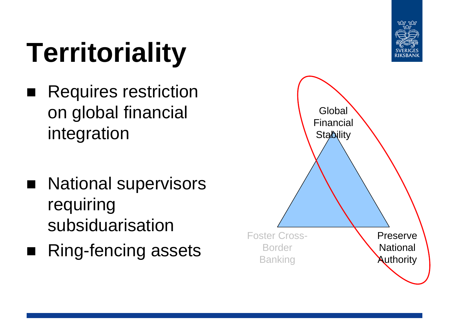#### **Territoriality**

- Requires restriction on global financial integration
- **National supervisors** requiring subsiduarisation
- Ring-fencing assets

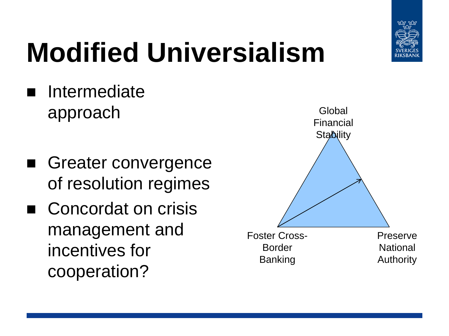

# **Modified Universialism**

- Intermediate approach
- Greater convergence of resolution regimes
- Concordat on crisis management and incentives for cooperation?

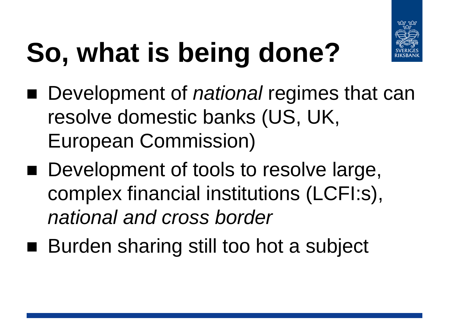

# **So, what is being done?**

- Development of *national* regimes that can resolve domestic banks (US, UK, European Commission)
- Development of tools to resolve large, complex financial institutions (LCFI:s), *national and cross border*
- Burden sharing still too hot a subject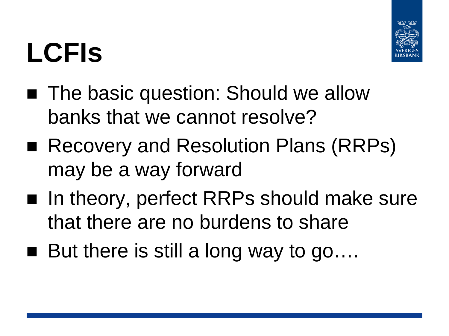#### **LCFIs**



- The basic question: Should we allow banks that we cannot resolve?
- Recovery and Resolution Plans (RRPs) may be a way forward
- In theory, perfect RRPs should make sure that there are no burdens to share
- $\blacksquare$  But there is still a long way to go....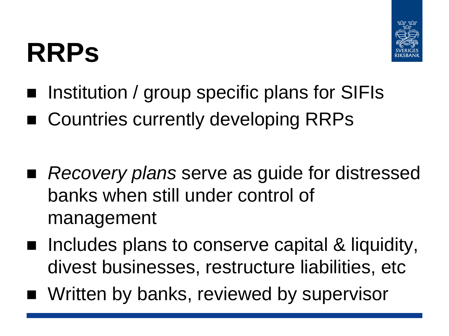#### **RRPs**



- **Igmilariation** / group specific plans for SIFIs
- Countries currently developing RRPs
- *Recovery plans* serve as guide for distressed banks when still under control of management
- Includes plans to conserve capital & liquidity, divest businesses, restructure liabilities, etc
- Written by banks, reviewed by supervisor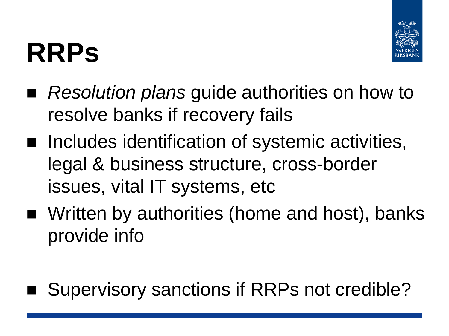#### **RRPs**



- *Resolution plans* guide authorities on how to resolve banks if recovery fails
- Includes identification of systemic activities, legal & business structure, cross-border issues, vital IT systems, etc
- Written by authorities (home and host), banks provide info
- Supervisory sanctions if RRPs not credible?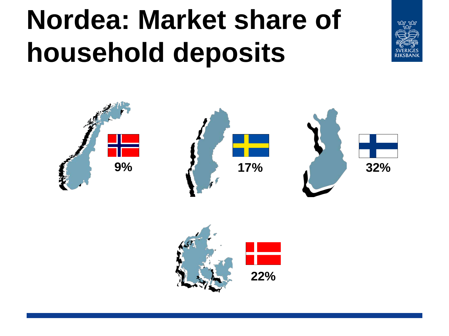#### **Nordea: Market share of household deposits**





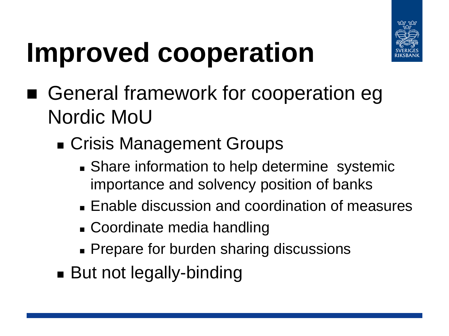

#### **Improved cooperation**

- General framework for cooperation eg Nordic MoU
	- Crisis Management Groups
		- **Share information to help determine systemic** importance and solvency position of banks
		- **Enable discussion and coordination of measures**
		- Coordinate media handling
		- **Prepare for burden sharing discussions**
	- **But not legally-binding**